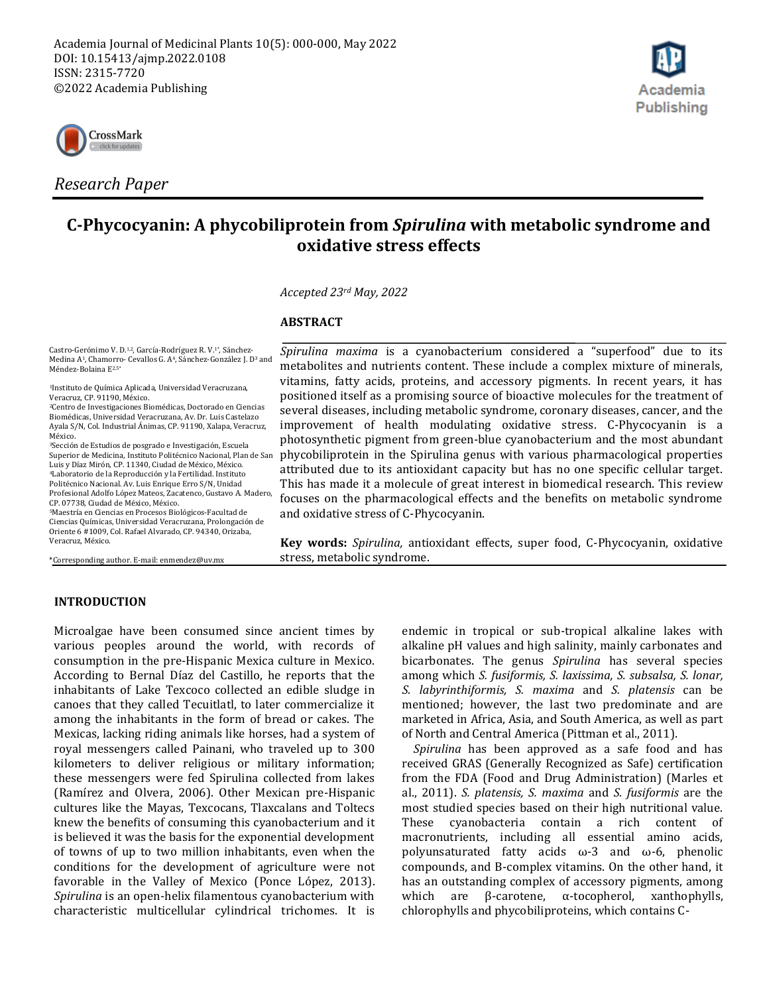



*Research Paper*

# **C-Phycocyanin: A phycobiliprotein from** *Spirulina* **with metabolic syndrome and oxidative stress effects**

*Accepted 23rd May, 2022*

#### **ABSTRACT**

Castro-Gerónimo V. D.1,2, García-Rodríguez R. V.1\*, Sánchez-Medina A1, Chamorro- Cevallos G. A4, Sánchez-González J. D<sup>3</sup> and<br>Méndez-Bolaina E<sup>2,5</sup>\*

<sup>1</sup>Instituto de Química Aplicada, Universidad Veracruzana, Veracruz, CP. 91190, México.

<sup>2</sup>Centro de Investigaciones Biomédicas, Doctorado en Ciencias Biomédicas, Universidad Veracruzana, Av. Dr. Luis Castelazo Ayala S/N, Col. Industrial Ánimas, CP. 91190, Xalapa, Veracruz, México.

<sup>3</sup>Sección de Estudios de posgrado e Investigación, Escuela Superior de Medicina, Instituto Politécnico Nacional, Plan de San Luis y Díaz Mirón, CP. 11340, Ciudad de México, México. <sup>4</sup>Laboratorio de la Reproducción y la Fertilidad. Instituto Politécnico Nacional. Av. Luis Enrique Erro S/N, Unidad Profesional Adolfo López Mateos, Zacatenco, Gustavo A. Madero, CP. 07738, Ciudad de México, México.

<sup>5</sup>Maestría en Ciencias en Procesos Biológicos-Facultad de Ciencias Químicas, Universidad Veracruzana, Prolongación de Oriente 6 #1009, Col. Rafael Alvarado, CP. 94340, Orizaba, Veracruz, México.

\*Corresponding author. E-mail: enmendez@uv.mx

*Spirulina maxima* is a cyanobacterium considered a "superfood" due to its metabolites and nutrients content. These include a complex mixture of minerals, vitamins, fatty acids, proteins, and accessory pigments. In recent years, it has positioned itself as a promising source of bioactive molecules for the treatment of several diseases, including metabolic syndrome, coronary diseases, cancer, and the improvement of health modulating oxidative stress. C-Phycocyanin is a photosynthetic pigment from green-blue cyanobacterium and the most abundant phycobiliprotein in the Spirulina genus with various pharmacological properties attributed due to its antioxidant capacity but has no one specific cellular target. This has made it a molecule of great interest in biomedical research. This review focuses on the pharmacological effects and the benefits on metabolic syndrome and oxidative stress of C-Phycocyanin.

**Key words:** *Spirulina,* antioxidant effects, super food, C-Phycocyanin, oxidative stress, metabolic syndrome.

# **INTRODUCTION**

Microalgae have been consumed since ancient times by various peoples around the world, with records of consumption in the pre-Hispanic Mexica culture in Mexico. According to Bernal Díaz del Castillo, he reports that the inhabitants of Lake Texcoco collected an edible sludge in canoes that they called Tecuitlatl, to later commercialize it among the inhabitants in the form of bread or cakes. The Mexicas, lacking riding animals like horses, had a system of royal messengers called Painani, who traveled up to 300 kilometers to deliver religious or military information; these messengers were fed Spirulina collected from lakes (Ramírez and Olvera, 2006). Other Mexican pre-Hispanic cultures like the Mayas, Texcocans, Tlaxcalans and Toltecs knew the benefits of consuming this cyanobacterium and it is believed it was the basis for the exponential development of towns of up to two million inhabitants, even when the conditions for the development of agriculture were not favorable in the Valley of Mexico (Ponce López, 2013). *Spirulina* is an open-helix filamentous cyanobacterium with characteristic multicellular cylindrical trichomes. It is endemic in tropical or sub-tropical alkaline lakes with alkaline pH values and high salinity, mainly carbonates and bicarbonates. The genus *Spirulina* has several species among which *S. fusiformis, S. laxissima, S. subsalsa, S. lonar, S. labyrinthiformis, S. maxima* and *S. platensis* can be mentioned; however, the last two predominate and are marketed in Africa, Asia, and South America, as well as part of North and Central America (Pittman et al., 2011).

*Spirulina* has been approved as a safe food and has received GRAS (Generally Recognized as Safe) certification from the FDA (Food and Drug Administration) (Marles et al., 2011). *S. platensis, S. maxima* and *S. fusiformis* are the most studied species based on their high nutritional value. These cyanobacteria contain a rich content of macronutrients, including all essential amino acids, polyunsaturated fatty acids ω-3 and ω-6, phenolic compounds, and B-complex vitamins. On the other hand, it has an outstanding complex of accessory pigments, among which are β-carotene, α-tocopherol, xanthophylls, chlorophylls and phycobiliproteins, which contains C-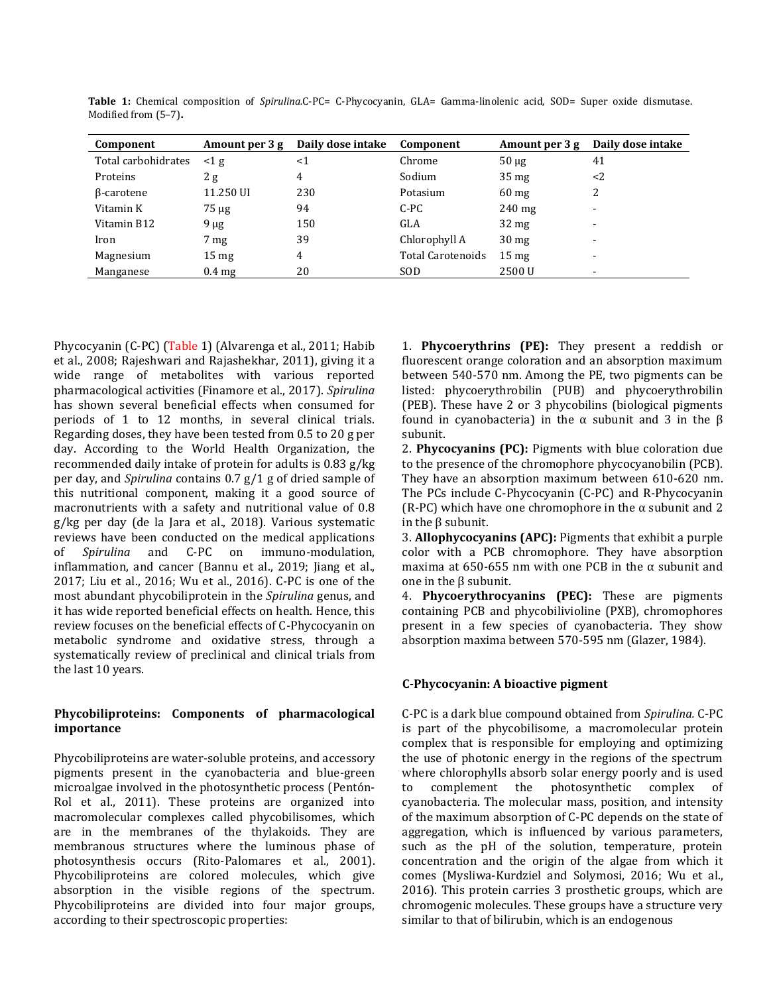| Component           | Amount per 3 g   | Daily dose intake | Component         | Amount per 3 g   | Daily dose intake |
|---------------------|------------------|-------------------|-------------------|------------------|-------------------|
| Total carbohidrates | $\leq$ 1 g       | $<$ 1             | Chrome            | $50 \mu g$       | 41                |
| Proteins            | 2g               | 4                 | Sodium            | 35 <sub>mg</sub> | <2                |
| β-carotene          | 11.250 UI        | 230               | Potasium          | $60 \text{ mg}$  | 2                 |
| Vitamin K           | $75 \mu g$       | 94                | C-PC              | $240$ mg         | -                 |
| Vitamin B12         | $9 \mu g$        | 150               | GLA               | $32 \text{ mg}$  | -                 |
| Iron                | 7 <sub>mg</sub>  | 39                | Chlorophyll A     | 30 <sub>mg</sub> | -                 |
| Magnesium           | $15 \text{ mg}$  | 4                 | Total Carotenoids | $15 \text{ mg}$  | -                 |
| Manganese           | $0.4 \text{ mg}$ | 20                | SOD               | 2500 U           |                   |

**Table 1:** Chemical composition of *Spirulina.*C-PC= C-Phycocyanin, GLA= Gamma-linolenic acid, SOD= Super oxide dismutase. Modified from (5–7)**.** 

Phycocyanin (C-PC) (Table 1) (Alvarenga et al., 2011; Habib et al., 2008; Rajeshwari and Rajashekhar, 2011), giving it a wide range of metabolites with various reported pharmacological activities (Finamore et al., 2017). *Spirulina* has shown several beneficial effects when consumed for periods of 1 to 12 months, in several clinical trials. Regarding doses, they have been tested from 0.5 to 20 g per day. According to the World Health Organization, the recommended daily intake of protein for adults is 0.83 g/kg per day, and *Spirulina* contains 0.7 g/1 g of dried sample of this nutritional component, making it a good source of macronutrients with a safety and nutritional value of 0.8 g/kg per day (de la Jara et al., 2018). Various systematic reviews have been conducted on the medical applications of *Spirulina* and C-PC on immuno-modulation, inflammation, and cancer (Bannu et al., 2019; Jiang et al., 2017; Liu et al., 2016; Wu et al., 2016). C-PC is one of the most abundant phycobiliprotein in the *Spirulina* genus, and it has wide reported beneficial effects on health. Hence, this review focuses on the beneficial effects of C-Phycocyanin on metabolic syndrome and oxidative stress, through a systematically review of preclinical and clinical trials from the last 10 years.

# **Phycobiliproteins: Components of pharmacological importance**

Phycobiliproteins are water-soluble proteins, and accessory pigments present in the cyanobacteria and blue-green microalgae involved in the photosynthetic process (Pentón-Rol et al., 2011). These proteins are organized into macromolecular complexes called phycobilisomes, which are in the membranes of the thylakoids. They are membranous structures where the luminous phase of photosynthesis occurs (Rito-Palomares et al., 2001). Phycobiliproteins are colored molecules, which give absorption in the visible regions of the spectrum. Phycobiliproteins are divided into four major groups, according to their spectroscopic properties:

1. **Phycoerythrins (PE):** They present a reddish or fluorescent orange coloration and an absorption maximum between 540-570 nm. Among the PE, two pigments can be listed: phycoerythrobilin (PUB) and phycoerythrobilin (PEB). These have 2 or 3 phycobilins (biological pigments found in cyanobacteria) in the α subunit and 3 in the β subunit.

2. **Phycocyanins (PC):** Pigments with blue coloration due to the presence of the chromophore phycocyanobilin (PCB). They have an absorption maximum between 610-620 nm. The PCs include C-Phycocyanin (C-PC) and R-Phycocyanin (R-PC) which have one chromophore in the  $\alpha$  subunit and 2 in the β subunit.

3. **Allophycocyanins (APC):** Pigments that exhibit a purple color with a PCB chromophore. They have absorption maxima at 650-655 nm with one PCB in the  $\alpha$  subunit and one in the β subunit.

4. **Phycoerythrocyanins (PEC):** These are pigments containing PCB and phycobilivioline (PXB), chromophores present in a few species of cyanobacteria. They show absorption maxima between 570-595 nm (Glazer, 1984).

# **C-Phycocyanin: A bioactive pigment**

C-PC is a dark blue compound obtained from *Spirulina.* C-PC is part of the phycobilisome, a macromolecular protein complex that is responsible for employing and optimizing the use of photonic energy in the regions of the spectrum where chlorophylls absorb solar energy poorly and is used to complement the photosynthetic complex of cyanobacteria. The molecular mass, position, and intensity of the maximum absorption of C-PC depends on the state of aggregation, which is influenced by various parameters, such as the pH of the solution, temperature, protein concentration and the origin of the algae from which it comes (Mysliwa-Kurdziel and Solymosi, 2016; Wu et al., 2016). This protein carries 3 prosthetic groups, which are chromogenic molecules. These groups have a structure very similar to that of bilirubin, which is an endogenous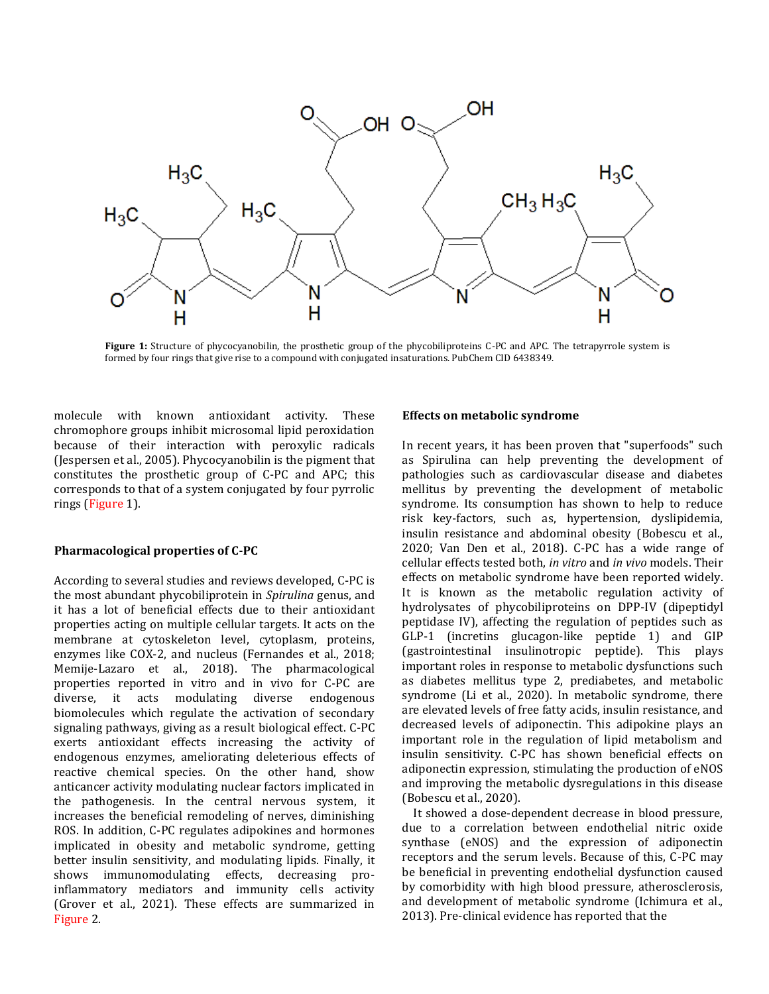

**Figure 1:** Structure of phycocyanobilin, the prosthetic group of the phycobiliproteins C-PC and APC. The tetrapyrrole system is formed by four rings that give rise to a compound with conjugated insaturations. PubChem CID 6438349.

molecule with known antioxidant activity. These chromophore groups inhibit microsomal lipid peroxidation because of their interaction with peroxylic radicals (Jespersen et al., 2005). Phycocyanobilin is the pigment that constitutes the prosthetic group of C-PC and APC; this corresponds to that of a system conjugated by four pyrrolic rings (Figure 1).

#### **Pharmacological properties of C-PC**

According to several studies and reviews developed, C-PC is the most abundant phycobiliprotein in *Spirulina* genus, and it has a lot of beneficial effects due to their antioxidant properties acting on multiple cellular targets. It acts on the membrane at cytoskeleton level, cytoplasm, proteins, enzymes like COX-2, and nucleus (Fernandes et al., 2018; Memije-Lazaro et al., 2018). The pharmacological properties reported in vitro and in vivo for C-PC are diverse, it acts modulating diverse endogenous biomolecules which regulate the activation of secondary signaling pathways, giving as a result biological effect. C-PC exerts antioxidant effects increasing the activity of endogenous enzymes, ameliorating deleterious effects of reactive chemical species. On the other hand, show anticancer activity modulating nuclear factors implicated in the pathogenesis. In the central nervous system, it increases the beneficial remodeling of nerves, diminishing ROS. In addition, C-PC regulates adipokines and hormones implicated in obesity and metabolic syndrome, getting better insulin sensitivity, and modulating lipids. Finally, it shows immunomodulating effects, decreasing proinflammatory mediators and immunity cells activity (Grover et al., 2021). These effects are summarized in Figure 2.

### **Effects on metabolic syndrome**

In recent years, it has been proven that "superfoods" such as Spirulina can help preventing the development of pathologies such as cardiovascular disease and diabetes mellitus by preventing the development of metabolic syndrome. Its consumption has shown to help to reduce risk key-factors, such as, hypertension, dyslipidemia, insulin resistance and abdominal obesity (Bobescu et al., 2020; Van Den et al., 2018). C-PC has a wide range of cellular effects tested both, *in vitro* and *in vivo* models. Their effects on metabolic syndrome have been reported widely. It is known as the metabolic regulation activity of hydrolysates of phycobiliproteins on DPP-IV (dipeptidyl peptidase IV), affecting the regulation of peptides such as GLP-1 (incretins glucagon-like peptide 1) and GIP (gastrointestinal insulinotropic peptide). This plays important roles in response to metabolic dysfunctions such as diabetes mellitus type 2, prediabetes, and metabolic syndrome (Li et al., 2020). In metabolic syndrome, there are elevated levels of free fatty acids, insulin resistance, and decreased levels of adiponectin. This adipokine plays an important role in the regulation of lipid metabolism and insulin sensitivity. C-PC has shown beneficial effects on adiponectin expression, stimulating the production of eNOS and improving the metabolic dysregulations in this disease (Bobescu et al., 2020).

It showed a dose-dependent decrease in blood pressure, due to a correlation between endothelial nitric oxide synthase (eNOS) and the expression of adiponectin receptors and the serum levels. Because of this, C-PC may be beneficial in preventing endothelial dysfunction caused by comorbidity with high blood pressure, atherosclerosis, and development of metabolic syndrome (Ichimura et al., 2013). Pre-clinical evidence has reported that the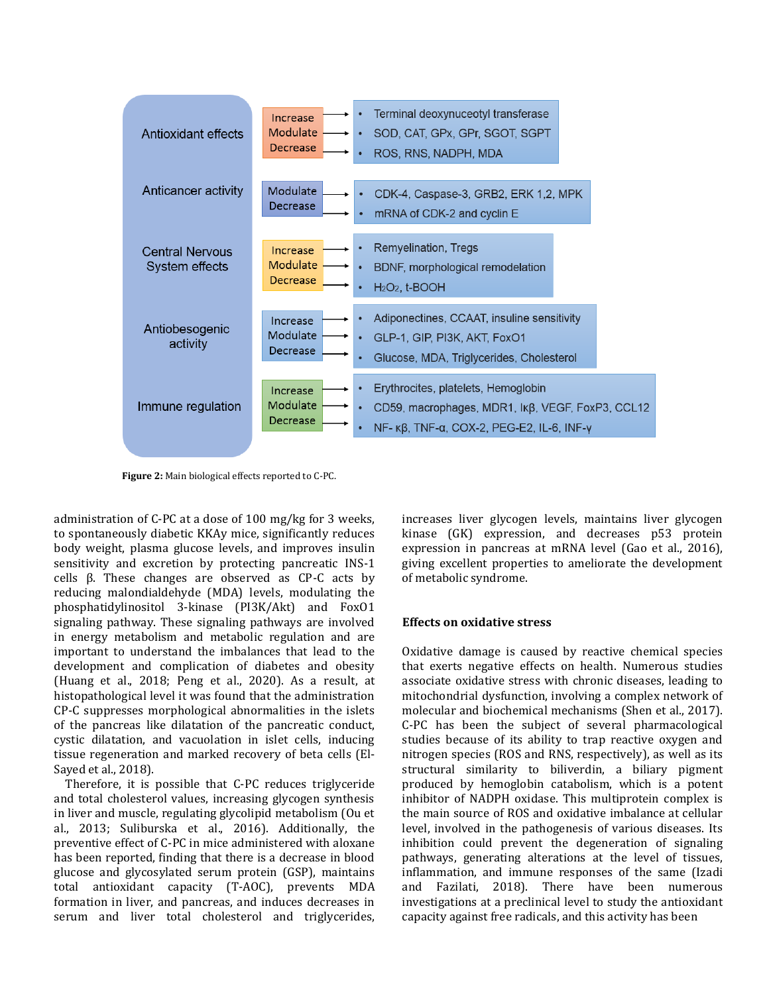

**Figure 2:** Main biological effects reported to C-PC.

administration of C-PC at a dose of 100 mg/kg for 3 weeks, to spontaneously diabetic KKAy mice, significantly reduces body weight, plasma glucose levels, and improves insulin sensitivity and excretion by protecting pancreatic INS-1 cells β. These changes are observed as CP-C acts by reducing malondialdehyde (MDA) levels, modulating the phosphatidylinositol 3-kinase (PI3K/Akt) and FoxO1 signaling pathway. These signaling pathways are involved in energy metabolism and metabolic regulation and are important to understand the imbalances that lead to the development and complication of diabetes and obesity (Huang et al., 2018; Peng et al., 2020). As a result, at histopathological level it was found that the administration CP-C suppresses morphological abnormalities in the islets of the pancreas like dilatation of the pancreatic conduct, cystic dilatation, and vacuolation in islet cells, inducing tissue regeneration and marked recovery of beta cells (El-Sayed et al., 2018).

Therefore, it is possible that C-PC reduces triglyceride and total cholesterol values, increasing glycogen synthesis in liver and muscle, regulating glycolipid metabolism (Ou et al., 2013; Suliburska et al., 2016). Additionally, the preventive effect of C-PC in mice administered with aloxane has been reported, finding that there is a decrease in blood glucose and glycosylated serum protein (GSP), maintains total antioxidant capacity (T-AOC), prevents MDA formation in liver, and pancreas, and induces decreases in serum and liver total cholesterol and triglycerides,

increases liver glycogen levels, maintains liver glycogen kinase (GK) expression, and decreases p53 protein expression in pancreas at mRNA level (Gao et al., 2016), giving excellent properties to ameliorate the development of metabolic syndrome.

### **Effects on oxidative stress**

Oxidative damage is caused by reactive chemical species that exerts negative effects on health. Numerous studies associate oxidative stress with chronic diseases, leading to mitochondrial dysfunction, involving a complex network of molecular and biochemical mechanisms (Shen et al., 2017). C-PC has been the subject of several pharmacological studies because of its ability to trap reactive oxygen and nitrogen species (ROS and RNS, respectively), as well as its structural similarity to biliverdin, a biliary pigment produced by hemoglobin catabolism, which is a potent inhibitor of NADPH oxidase. This multiprotein complex is the main source of ROS and oxidative imbalance at cellular level, involved in the pathogenesis of various diseases. Its inhibition could prevent the degeneration of signaling pathways, generating alterations at the level of tissues, inflammation, and immune responses of the same (Izadi and Fazilati, 2018). There have been numerous investigations at a preclinical level to study the antioxidant capacity against free radicals, and this activity has been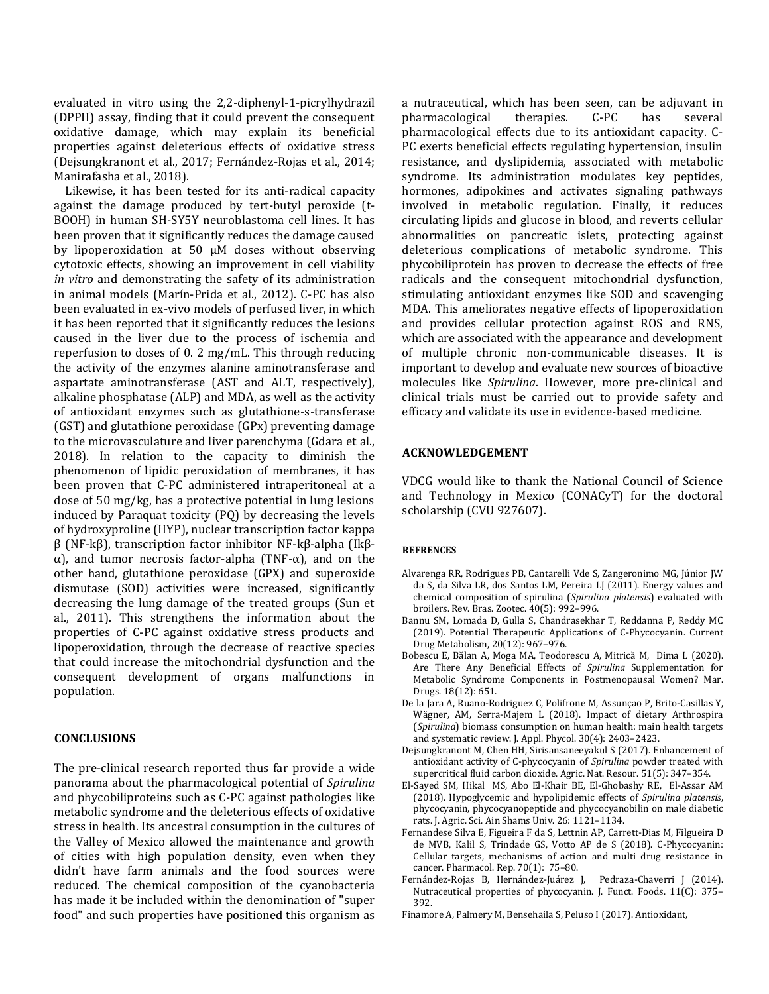evaluated in vitro using the 2,2-diphenyl-1-picrylhydrazil (DPPH) assay, finding that it could prevent the consequent oxidative damage, which may explain its beneficial properties against deleterious effects of oxidative stress (Dejsungkranont et al., 2017; Fernández-Rojas et al., 2014; Manirafasha et al., 2018).

Likewise, it has been tested for its anti-radical capacity against the damage produced by tert-butyl peroxide (t-BOOH) in human SH-SY5Y neuroblastoma cell lines. It has been proven that it significantly reduces the damage caused by lipoperoxidation at 50 µM doses without observing cytotoxic effects, showing an improvement in cell viability *in vitro* and demonstrating the safety of its administration in animal models (Marín-Prida et al., 2012). C-PC has also been evaluated in ex-vivo models of perfused liver, in which it has been reported that it significantly reduces the lesions caused in the liver due to the process of ischemia and reperfusion to doses of 0. 2 mg/mL. This through reducing the activity of the enzymes alanine aminotransferase and aspartate aminotransferase (AST and ALT, respectively), alkaline phosphatase (ALP) and MDA, as well as the activity of antioxidant enzymes such as glutathione-s-transferase (GST) and glutathione peroxidase (GPx) preventing damage to the microvasculature and liver parenchyma (Gdara et al., 2018). In relation to the capacity to diminish the phenomenon of lipidic peroxidation of membranes, it has been proven that C-PC administered intraperitoneal at a dose of 50 mg/kg, has a protective potential in lung lesions induced by Paraquat toxicity (PQ) by decreasing the levels of hydroxyproline (HYP), nuclear transcription factor kappa β (NF-kβ), transcription factor inhibitor NF-kβ-alpha (Ikβα), and tumor necrosis factor-alpha (TNF-α), and on the other hand, glutathione peroxidase (GPX) and superoxide dismutase (SOD) activities were increased, significantly decreasing the lung damage of the treated groups (Sun et al., 2011). This strengthens the information about the properties of C-PC against oxidative stress products and lipoperoxidation, through the decrease of reactive species that could increase the mitochondrial dysfunction and the consequent development of organs malfunctions in population.

# **CONCLUSIONS**

The pre-clinical research reported thus far provide a wide panorama about the pharmacological potential of *Spirulina*  and phycobiliproteins such as C-PC against pathologies like metabolic syndrome and the deleterious effects of oxidative stress in health. Its ancestral consumption in the cultures of the Valley of Mexico allowed the maintenance and growth of cities with high population density, even when they didn't have farm animals and the food sources were reduced. The chemical composition of the cyanobacteria has made it be included within the denomination of "super food" and such properties have positioned this organism as a nutraceutical, which has been seen, can be adjuvant in pharmacological therapies. C-PC has several pharmacological effects due to its antioxidant capacity. C-PC exerts beneficial effects regulating hypertension, insulin resistance, and dyslipidemia, associated with metabolic syndrome. Its administration modulates key peptides, hormones, adipokines and activates signaling pathways involved in metabolic regulation. Finally, it reduces circulating lipids and glucose in blood, and reverts cellular abnormalities on pancreatic islets, protecting against deleterious complications of metabolic syndrome. This phycobiliprotein has proven to decrease the effects of free radicals and the consequent mitochondrial dysfunction, stimulating antioxidant enzymes like SOD and scavenging MDA. This ameliorates negative effects of lipoperoxidation and provides cellular protection against ROS and RNS, which are associated with the appearance and development of multiple chronic non-communicable diseases. It is important to develop and evaluate new sources of bioactive molecules like *Spirulina*. However, more pre-clinical and clinical trials must be carried out to provide safety and efficacy and validate its use in evidence-based medicine.

#### **ACKNOWLEDGEMENT**

VDCG would like to thank the National Council of Science and Technology in Mexico (CONACyT) for the doctoral scholarship (CVU 927607).

#### **REFRENCES**

- Alvarenga RR, Rodrigues PB, Cantarelli Vde S, Zangeronimo MG, Júnior JW da S, da Silva LR, dos Santos LM, Pereira LJ (2011). Energy values and chemical composition of spirulina (*Spirulina platensis*) evaluated with broilers. Rev. Bras. Zootec. 40(5): 992–996.
- Bannu SM, Lomada D, Gulla S, Chandrasekhar T, Reddanna P, Reddy MC (2019). Potential Therapeutic Applications of C-Phycocyanin. Current Drug Metabolism, 20(12): 967–976.
- Bobescu E, Bălan A, Moga MA, Teodorescu A, Mitrică M, Dima L (2020). Are There Any Beneficial Effects of *Spirulina* Supplementation for Metabolic Syndrome Components in Postmenopausal Women? Mar. Drugs. 18(12): 651.
- De la Jara A, Ruano-Rodriguez C, Polifrone M, Assunçao P, Brito-Casillas Y, Wägner, AM, Serra-Majem L (2018). Impact of dietary Arthrospira (*Spirulina*) biomass consumption on human health: main health targets and systematic review. J. Appl. Phycol. 30(4): 2403–2423.
- Dejsungkranont M, Chen HH, Sirisansaneeyakul S (2017). Enhancement of antioxidant activity of C-phycocyanin of *Spirulina* powder treated with supercritical fluid carbon dioxide. Agric. Nat. Resour. 51(5): 347–354.
- El-Sayed SM, Hikal MS, Abo El-Khair BE, El-Ghobashy RE, El-Assar AM (2018). Hypoglycemic and hypolipidemic effects of *Spirulina platensis*, phycocyanin, phycocyanopeptide and phycocyanobilin on male diabetic rats. J. Agric. Sci. Ain Shams Univ. 26: 1121–1134.
- Fernandese Silva E, Figueira F da S, Lettnin AP, Carrett-Dias M, Filgueira D de MVB, Kalil S, Trindade GS, Votto AP de S (2018). C-Phycocyanin: Cellular targets, mechanisms of action and multi drug resistance in cancer. Pharmacol. Rep. 70(1): 75–80.
- Fernández-Rojas B, Hernández-Juárez J, Pedraza-Chaverri J (2014). Nutraceutical properties of phycocyanin. J. Funct. Foods. 11(C): 375– 392.
- Finamore A, Palmery M, Bensehaila S, Peluso I (2017). Antioxidant,